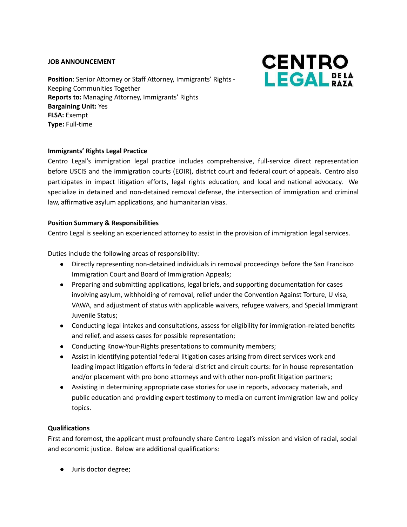#### **JOB ANNOUNCEMENT**

**Position**: Senior Attorney or Staff Attorney, Immigrants' Rights - Keeping Communities Together **Reports to:** Managing Attorney, Immigrants' Rights **Bargaining Unit:** Yes **FLSA:** Exempt **Type:** Full-time



## **Immigrants' Rights Legal Practice**

Centro Legal's immigration legal practice includes comprehensive, full-service direct representation before USCIS and the immigration courts (EOIR), district court and federal court of appeals. Centro also participates in impact litigation efforts, legal rights education, and local and national advocacy. We specialize in detained and non-detained removal defense, the intersection of immigration and criminal law, affirmative asylum applications, and humanitarian visas.

#### **Position Summary & Responsibilities**

Centro Legal is seeking an experienced attorney to assist in the provision of immigration legal services.

Duties include the following areas of responsibility:

- Directly representing non-detained individuals in removal proceedings before the San Francisco Immigration Court and Board of Immigration Appeals;
- Preparing and submitting applications, legal briefs, and supporting documentation for cases involving asylum, withholding of removal, relief under the Convention Against Torture, U visa, VAWA, and adjustment of status with applicable waivers, refugee waivers, and Special Immigrant Juvenile Status;
- Conducting legal intakes and consultations, assess for eligibility for immigration-related benefits and relief, and assess cases for possible representation;
- Conducting Know-Your-Rights presentations to community members;
- Assist in identifying potential federal litigation cases arising from direct services work and leading impact litigation efforts in federal district and circuit courts: for in house representation and/or placement with pro bono attorneys and with other non-profit litigation partners;
- Assisting in determining appropriate case stories for use in reports, advocacy materials, and public education and providing expert testimony to media on current immigration law and policy topics.

### **Qualifications**

First and foremost, the applicant must profoundly share Centro Legal's mission and vision of racial, social and economic justice. Below are additional qualifications:

● Juris doctor degree;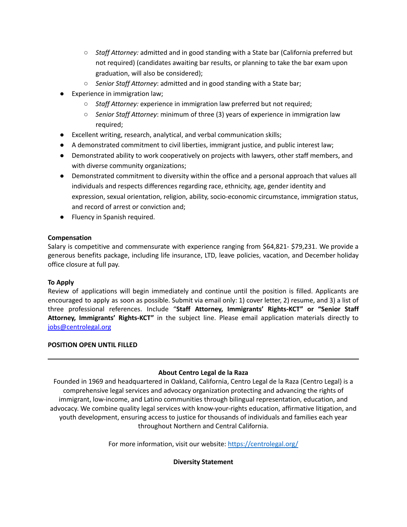- *Staff Attorney:* admitted and in good standing with a State bar (California preferred but not required) (candidates awaiting bar results, or planning to take the bar exam upon graduation, will also be considered);
- *○ Senior Staff Attorney*: admitted and in good standing with a State bar;
- Experience in immigration law;
	- *○ Staff Attorney:* experience in immigration law preferred but not required;
	- *○ Senior Staff Attorney*: minimum of three (3) years of experience in immigration law required;
- Excellent writing, research, analytical, and verbal communication skills;
- A demonstrated commitment to civil liberties, immigrant justice, and public interest law;
- Demonstrated ability to work cooperatively on projects with lawyers, other staff members, and with diverse community organizations;
- Demonstrated commitment to diversity within the office and a personal approach that values all individuals and respects differences regarding race, ethnicity, age, gender identity and expression, sexual orientation, religion, ability, socio-economic circumstance, immigration status, and record of arrest or conviction and;
- Fluency in Spanish required.

## **Compensation**

Salary is competitive and commensurate with experience ranging from \$64,821- \$79,231. We provide a generous benefits package, including life insurance, LTD, leave policies, vacation, and December holiday office closure at full pay.

# **To Apply**

Review of applications will begin immediately and continue until the position is filled. Applicants are encouraged to apply as soon as possible. Submit via email only: 1) cover letter, 2) resume, and 3) a list of three professional references. Include "**Staff Attorney, Immigrants' Rights-KCT" or "Senior Staff Attorney, Immigrants' Rights-KCT"** in the subject line. Please email application materials directly to [jobs@centrolegal.org](mailto:jobs@centrolegal.org)

# **POSITION OPEN UNTIL FILLED**

# **About Centro Legal de la Raza**

Founded in 1969 and headquartered in Oakland, California, Centro Legal de la Raza (Centro Legal) is a comprehensive legal services and advocacy organization protecting and advancing the rights of immigrant, low-income, and Latino communities through bilingual representation, education, and advocacy. We combine quality legal services with know-your-rights education, affirmative litigation, and youth development, ensuring access to justice for thousands of individuals and families each year throughout Northern and Central California.

For more information, visit our website: <https://centrolegal.org/>

### **Diversity Statement**